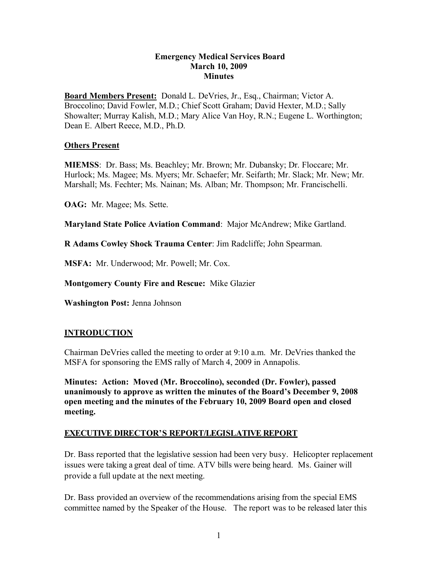#### **Emergency Medical Services Board March 10, 2009 Minutes**

**Board Members Present:** Donald L. DeVries, Jr., Esq., Chairman; Victor A. Broccolino; David Fowler, M.D.; Chief Scott Graham; David Hexter, M.D.; Sally Showalter; Murray Kalish, M.D.; Mary Alice Van Hoy, R.N.; Eugene L. Worthington; Dean E. Albert Reece, M.D., Ph.D.

#### **Others Present**

**MIEMSS**: Dr. Bass; Ms. Beachley; Mr. Brown; Mr. Dubansky; Dr. Floccare; Mr. Hurlock; Ms. Magee; Ms. Myers; Mr. Schaefer; Mr. Seifarth; Mr. Slack; Mr. New; Mr. Marshall; Ms. Fechter; Ms. Nainan; Ms. Alban; Mr. Thompson; Mr. Francischelli.

**OAG:** Mr. Magee; Ms. Sette.

**Maryland State Police Aviation Command**: Major McAndrew; Mike Gartland.

**R Adams Cowley Shock Trauma Center**: Jim Radcliffe; John Spearman.

**MSFA:** Mr. Underwood; Mr. Powell; Mr. Cox.

**Montgomery County Fire and Rescue:** Mike Glazier

**Washington Post:** Jenna Johnson

## **INTRODUCTION**

Chairman DeVries called the meeting to order at 9:10 a.m. Mr. DeVries thanked the MSFA for sponsoring the EMS rally of March 4, 2009 in Annapolis.

**Minutes: Action: Moved (Mr. Broccolino), seconded (Dr. Fowler), passed unanimously to approve as written the minutes of the Board's December 9, 2008 open meeting and the minutes of the February 10, 2009 Board open and closed meeting.**

## **EXECUTIVE DIRECTOR'S REPORT/LEGISLATIVE REPORT**

Dr. Bass reported that the legislative session had been very busy. Helicopter replacement issues were taking a great deal of time. ATV bills were being heard. Ms. Gainer will provide a full update at the next meeting.

Dr. Bass provided an overview of the recommendations arising from the special EMS committee named by the Speaker of the House. The report was to be released later this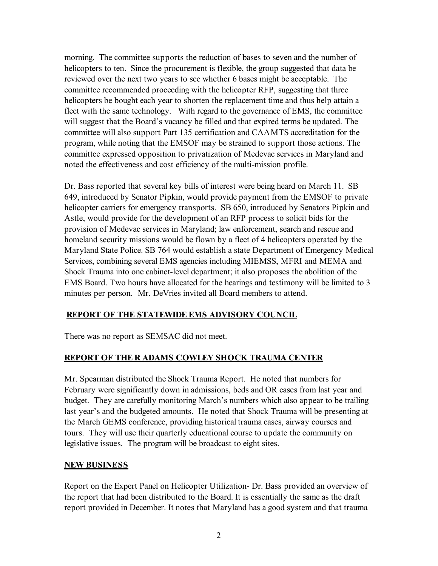morning. The committee supports the reduction of bases to seven and the number of helicopters to ten. Since the procurement is flexible, the group suggested that data be reviewed over the next two years to see whether 6 bases might be acceptable. The committee recommended proceeding with the helicopter RFP, suggesting that three helicopters be bought each year to shorten the replacement time and thus help attain a fleet with the same technology. With regard to the governance of EMS, the committee will suggest that the Board's vacancy be filled and that expired terms be updated. The committee will also support Part 135 certification and CAAMTS accreditation for the program, while noting that the EMSOF may be strained to support those actions. The committee expressed opposition to privatization of Medevac services in Maryland and noted the effectiveness and cost efficiency of the multi-mission profile.

Dr. Bass reported that several key bills of interest were being heard on March 11. SB 649, introduced by Senator Pipkin, would provide payment from the EMSOF to private helicopter carriers for emergency transports. SB 650, introduced by Senators Pipkin and Astle, would provide for the development of an RFP process to solicit bids for the provision of Medevac services in Maryland; law enforcement, search and rescue and homeland security missions would be flown by a fleet of 4 helicopters operated by the Maryland State Police. SB 764 would establish a state Department of Emergency Medical Services, combining several EMS agencies including MIEMSS, MFRI and MEMA and Shock Trauma into one cabinet-level department; it also proposes the abolition of the EMS Board. Two hours have allocated for the hearings and testimony will be limited to 3 minutes per person. Mr. DeVries invited all Board members to attend.

## **REPORT OF THE STATEWIDE EMS ADVISORY COUNCIL**

There was no report as SEMSAC did not meet.

## **REPORT OF THE R ADAMS COWLEY SHOCK TRAUMA CENTER**

Mr. Spearman distributed the Shock Trauma Report. He noted that numbers for February were significantly down in admissions, beds and OR cases from last year and budget. They are carefully monitoring March's numbers which also appear to be trailing last year's and the budgeted amounts. He noted that Shock Trauma will be presenting at the March GEMS conference, providing historical trauma cases, airway courses and tours. They will use their quarterly educational course to update the community on legislative issues. The program will be broadcast to eight sites.

#### **NEW BUSINESS**

Report on the Expert Panel on Helicopter Utilization- Dr. Bass provided an overview of the report that had been distributed to the Board. It is essentially the same as the draft report provided in December. It notes that Maryland has a good system and that trauma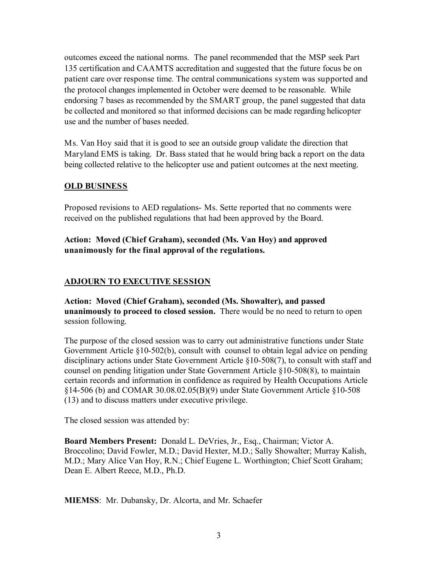outcomes exceed the national norms. The panel recommended that the MSP seek Part 135 certification and CAAMTS accreditation and suggested that the future focus be on patient care over response time. The central communications system was supported and the protocol changes implemented in October were deemed to be reasonable. While endorsing 7 bases as recommended by the SMART group, the panel suggested that data be collected and monitored so that informed decisions can be made regarding helicopter use and the number of bases needed.

Ms. Van Hoy said that it is good to see an outside group validate the direction that Maryland EMS is taking. Dr. Bass stated that he would bring back a report on the data being collected relative to the helicopter use and patient outcomes at the next meeting.

## **OLD BUSINESS**

Proposed revisions to AED regulations- Ms. Sette reported that no comments were received on the published regulations that had been approved by the Board.

# **Action: Moved (Chief Graham), seconded (Ms. Van Hoy) and approved unanimously for the final approval of the regulations.**

# **ADJOURN TO EXECUTIVE SESSION**

**Action: Moved (Chief Graham), seconded (Ms. Showalter), and passed unanimously to proceed to closed session.** There would be no need to return to open session following.

The purpose of the closed session was to carry out administrative functions under State Government Article §10-502(b), consult with counsel to obtain legal advice on pending disciplinary actions under State Government Article §10-508(7), to consult with staff and counsel on pending litigation under State Government Article §10-508(8), to maintain certain records and information in confidence as required by Health Occupations Article §14-506 (b) and COMAR 30.08.02.05(B)(9) under State Government Article §10-508 (13) and to discuss matters under executive privilege.

The closed session was attended by:

**Board Members Present:** Donald L. DeVries, Jr., Esq., Chairman; Victor A. Broccolino; David Fowler, M.D.; David Hexter, M.D.; Sally Showalter; Murray Kalish, M.D.; Mary Alice Van Hoy, R.N.; Chief Eugene L. Worthington; Chief Scott Graham; Dean E. Albert Reece, M.D., Ph.D.

**MIEMSS**: Mr. Dubansky, Dr. Alcorta, and Mr. Schaefer